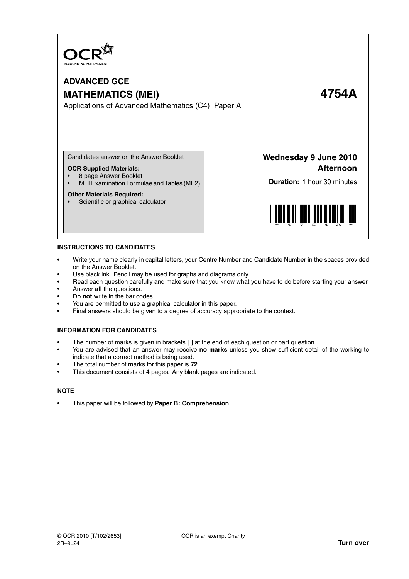

# **ADVANCED GCE MATHEMATICS (MEI) 4754A** Applications of Advanced Mathematics (C4) Paper A

Candidates answer on the Answer Booklet

### **OCR Supplied Materials:**

- 8 page Answer Booklet
- MEI Examination Formulae and Tables (MF2)

#### **Other Materials Required:**

• Scientific or graphical calculator

**Wednesday 9 June 2010 Afternoon**

**Duration:** 1 hour 30 minutes



#### **INSTRUCTIONS TO CANDIDATES**

- Write your name clearly in capital letters, your Centre Number and Candidate Number in the spaces provided on the Answer Booklet.
- Use black ink. Pencil may be used for graphs and diagrams only.
- Read each question carefully and make sure that you know what you have to do before starting your answer.
- Answer **all** the questions.
- Do **not** write in the bar codes.
- You are permitted to use a graphical calculator in this paper.
- Final answers should be given to a degree of accuracy appropriate to the context.

### **INFORMATION FOR CANDIDATES**

- The number of marks is given in brackets **[ ]** at the end of each question or part question.
- You are advised that an answer may receive **no marks** unless you show sufficient detail of the working to indicate that a correct method is being used.
- The total number of marks for this paper is **72**.
- This document consists of **4** pages. Any blank pages are indicated.

#### **NOTE**

• This paper will be followed by **Paper B: Comprehension**.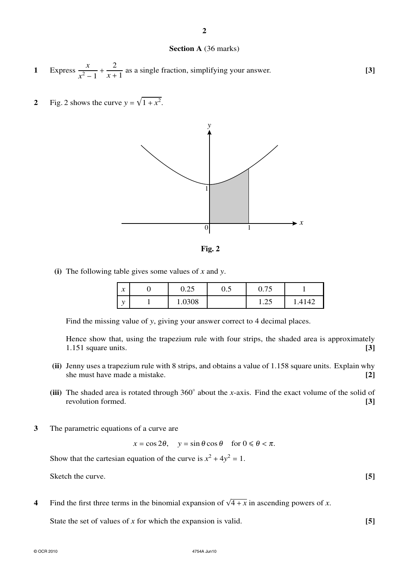© OCR 2010 4754A Jun10

## **Section A** (36 marks)

- **1** Express  $\frac{x}{2}$  $\frac{x^2-1}{x^2}$ 2  $\frac{2}{x+1}$  as a single fraction, simplifying your answer. **[3]**
- **2** Fig. 2 shows the curve  $y = \sqrt{1 + x^2}$ .





**(i)** The following table gives some values of *x* and *y*.

| $\mathbf{r}$<br>$\boldsymbol{\lambda}$ | n ne<br>∪.∠J | v.J | .75<br>0.75       |       |
|----------------------------------------|--------------|-----|-------------------|-------|
| ۰.                                     | 1.0308       |     | $\bigcap$<br>1.4J | .4142 |

Find the missing value of *y*, giving your answer correct to 4 decimal places.

Hence show that, using the trapezium rule with four strips, the shaded area is approximately 1.151 square units. **[3]**

- **(ii)** Jenny uses a trapezium rule with 8 strips, and obtains a value of 1.158 square units. Explain why she must have made a mistake. **[2]**
- **(iii)** The shaded area is rotated through 360◦ about the *x*-axis. Find the exact volume of the solid of revolution formed. **[3]**
- **3** The parametric equations of a curve are

 $x = \cos 2\theta$ ,  $y = \sin \theta \cos \theta$  for  $0 \le \theta < \pi$ .

Show that the cartesian equation of the curve is  $x^2 + 4y^2 = 1$ .

Sketch the curve. **[5]** 

4 Find the first three terms in the binomial expansion of  $\sqrt{4+x}$  in ascending powers of *x*.

State the set of values of *x* for which the expansion is valid. **[5]**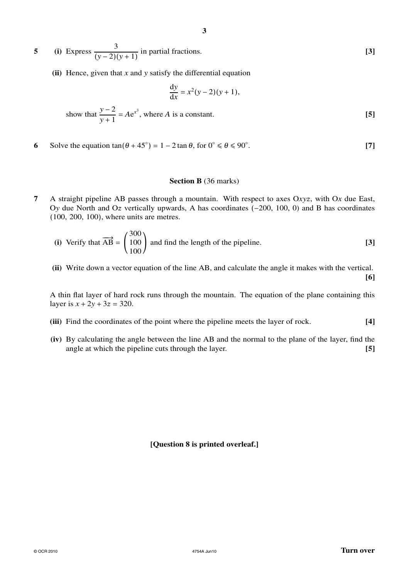**5** (i) Express  $\frac{3}{(1, 2)}$  $\frac{y}{(y-2)(y+1)}$  in partial fractions. **[3]** 

**(ii)** Hence, given that *x* and *y* satisfy the differential equation

$$
\frac{dy}{dx} = x^2(y-2)(y+1),
$$
  
show that  $\frac{y-2}{y+1} = Ae^{x^3}$ , where *A* is a constant. [5]

**6** Solve the equation  $\tan(\theta + 45^\circ) = 1 - 2\tan \theta$ , for  $0^\circ \le \theta \le 90^\circ$ . **[7]**

#### **Section B** (36 marks)

**7** A straight pipeline AB passes through a mountain. With respect to axes Oxyz, with Ox due East, Ov due North and Oz vertically upwards, A has coordinates (−200, 100, 0) and B has coordinates (100, 200, 100), where units are metres.

(i) Verify that 
$$
\overrightarrow{AB} = \begin{pmatrix} 300 \\ 100 \\ 100 \end{pmatrix}
$$
 and find the length of the pipeline. [3]

**(ii)** Write down a vector equation of the line AB, and calculate the angle it makes with the vertical. **[6]**

A thin flat layer of hard rock runs through the mountain. The equation of the plane containing this layer is  $x + 2y + 3z = 320$ .

- **(iii)** Find the coordinates of the point where the pipeline meets the layer of rock. **[4]**
- **(iv)** By calculating the angle between the line AB and the normal to the plane of the layer, find the angle at which the pipeline cuts through the layer. **[5]**

**[Question 8 is printed overleaf.]**